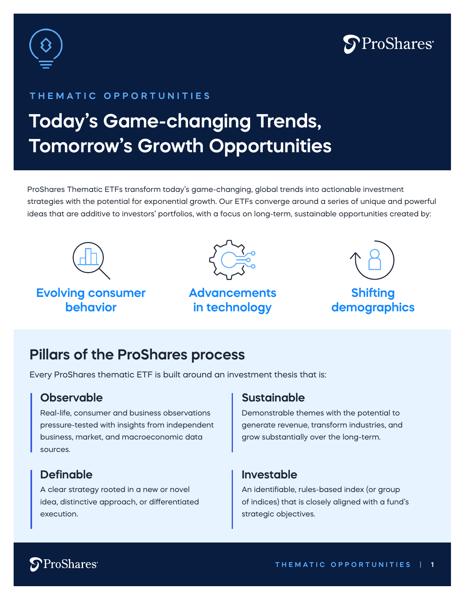



#### **THEMATIC OPPORTUNITIES**

# **Today's Game-changing Trends, Tomorrow's Growth Opportunities**

ProShares Thematic ETFs transform today's game-changing, global trends into actionable investment strategies with the potential for exponential growth. Our ETFs converge around a series of unique and powerful ideas that are additive to investors' portfolios, with a focus on long-term, sustainable opportunities created by:



### **Evolving consumer behavior**



### **Advancements in technology**



**Shifting demographics** 

### **Pillars of the ProShares process**

Every ProShares thematic ETF is built around an investment thesis that is:

#### **Observable**

Real-life, consumer and business observations pressure-tested with insights from independent business, market, and macroeconomic data sources.

### **Definable**

A clear strategy rooted in a new or novel idea, distinctive approach, or differentiated execution.

#### **Sustainable**

Demonstrable themes with the potential to generate revenue, transform industries, and grow substantially over the long-term.

#### **Investable**

An identifiable, rules-based index (or group of indices) that is closely aligned with a fund's strategic objectives.

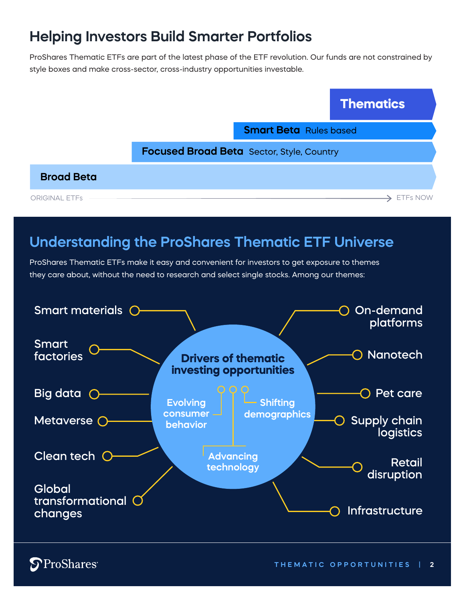# **Helping Investors Build Smarter Portfolios**

ProShares Thematic ETFs are part of the latest phase of the ETF revolution. Our funds are not constrained by style boxes and make cross-sector, cross-industry opportunities investable.



### **Understanding the ProShares Thematic ETF Universe**

ProShares Thematic ETFs make it easy and convenient for investors to get exposure to themes they care about, without the need to research and select single stocks. Among our themes:



**S**ProShares<sup>®</sup>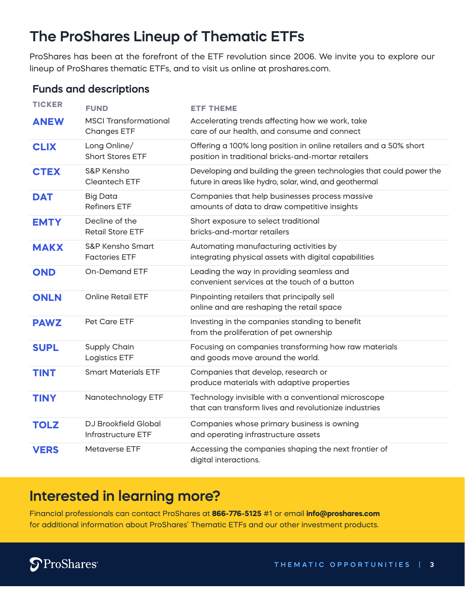# **The ProShares Lineup of Thematic ETFs**

ProShares has been at the forefront of the ETF revolution since 2006. We invite you to explore our lineup of ProShares thematic ETFs, and to visit us online at proshares.com.

### **Funds and descriptions**

| <b>TICKER</b> | <b>FUND</b>                                        | <b>ETF THEME</b>                                                                                                               |
|---------------|----------------------------------------------------|--------------------------------------------------------------------------------------------------------------------------------|
| <b>ANEW</b>   | <b>MSCI Transformational</b><br><b>Changes ETF</b> | Accelerating trends affecting how we work, take<br>care of our health, and consume and connect                                 |
| <b>CLIX</b>   | Long Online/<br><b>Short Stores ETF</b>            | Offering a 100% long position in online retailers and a 50% short<br>position in traditional bricks-and-mortar retailers       |
| <b>CTEX</b>   | S&P Kensho<br>Cleantech ETF                        | Developing and building the green technologies that could power the<br>future in areas like hydro, solar, wind, and geothermal |
| <b>DAT</b>    | <b>Big Data</b><br><b>Refiners ETF</b>             | Companies that help businesses process massive<br>amounts of data to draw competitive insights                                 |
| <b>EMTY</b>   | Decline of the<br><b>Retail Store ETF</b>          | Short exposure to select traditional<br>bricks-and-mortar retailers                                                            |
| <b>MAKX</b>   | S&P Kensho Smart<br><b>Factories ETF</b>           | Automating manufacturing activities by<br>integrating physical assets with digital capabilities                                |
| <b>OND</b>    | <b>On-Demand ETF</b>                               | Leading the way in providing seamless and<br>convenient services at the touch of a button                                      |
| <b>ONLN</b>   | <b>Online Retail ETF</b>                           | Pinpointing retailers that principally sell<br>online and are reshaping the retail space                                       |
| <b>PAWZ</b>   | Pet Care ETF                                       | Investing in the companies standing to benefit<br>from the proliferation of pet ownership                                      |
| <b>SUPL</b>   | Supply Chain<br><b>Logistics ETF</b>               | Focusing on companies transforming how raw materials<br>and goods move around the world.                                       |
| <b>TINT</b>   | <b>Smart Materials ETF</b>                         | Companies that develop, research or<br>produce materials with adaptive properties                                              |
| <b>TINY</b>   | Nanotechnology ETF                                 | Technology invisible with a conventional microscope<br>that can transform lives and revolutionize industries                   |
| <b>TOLZ</b>   | DJ Brookfield Global<br>Infrastructure ETF         | Companies whose primary business is owning<br>and operating infrastructure assets                                              |
| <b>VERS</b>   | Metaverse ETF                                      | Accessing the companies shaping the next frontier of<br>digital interactions.                                                  |

### **Interested in learning more?**

Financial professionals can contact ProShares at **866-776-5125** #1 or email **info@proshares.com** for additional information about ProShares' Thematic ETFs and our other investment products.